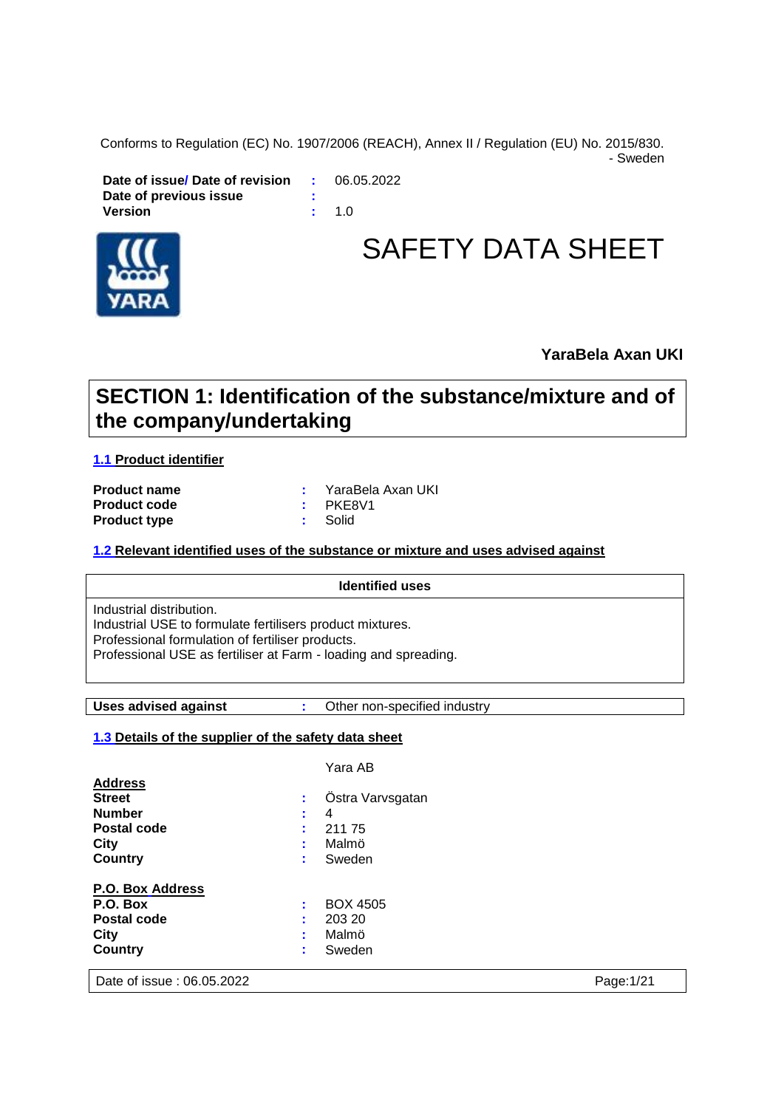Conforms to Regulation (EC) No. 1907/2006 (REACH), Annex II / Regulation (EU) No. 2015/830.

- Sweden

**Date of issue/ Date of revision :** 06.05.2022 **Date of previous issue : Version :** 1.0



# SAFETY DATA SHEET

**YaraBela Axan UKI**

# **SECTION 1: Identification of the substance/mixture and of the company/undertaking**

**1.1 Product identifier**

**Product code :** PKE8V1 **Product type :** Solid

**Product name :** YaraBela Axan UKI

#### **1.2 Relevant identified uses of the substance or mixture and uses advised against**

## **Identified uses** Industrial distribution. Industrial USE to formulate fertilisers product mixtures. Professional formulation of fertiliser products. Professional USE as fertiliser at Farm - loading and spreading.

**Uses advised against :** Other non-specified industry

### **1.3 Details of the supplier of the safety data sheet**

|                         |   | Yara AB          |
|-------------------------|---|------------------|
| <b>Address</b>          |   |                  |
| <b>Street</b>           |   | Ostra Varvsgatan |
| <b>Number</b>           | ٠ | 4                |
| Postal code             |   | 21175            |
| City                    |   | Malmö            |
| Country                 |   | Sweden           |
| <b>P.O. Box Address</b> |   |                  |
| P.O. Box                |   | <b>BOX 4505</b>  |
| Postal code             | ٠ | 203 20           |
| City                    |   | Malmö            |
| Country                 | ٠ | Sweden           |
| . .<br>- -<br>$\cdots$  |   |                  |

Date of issue : 06.05.2022 Page:1/21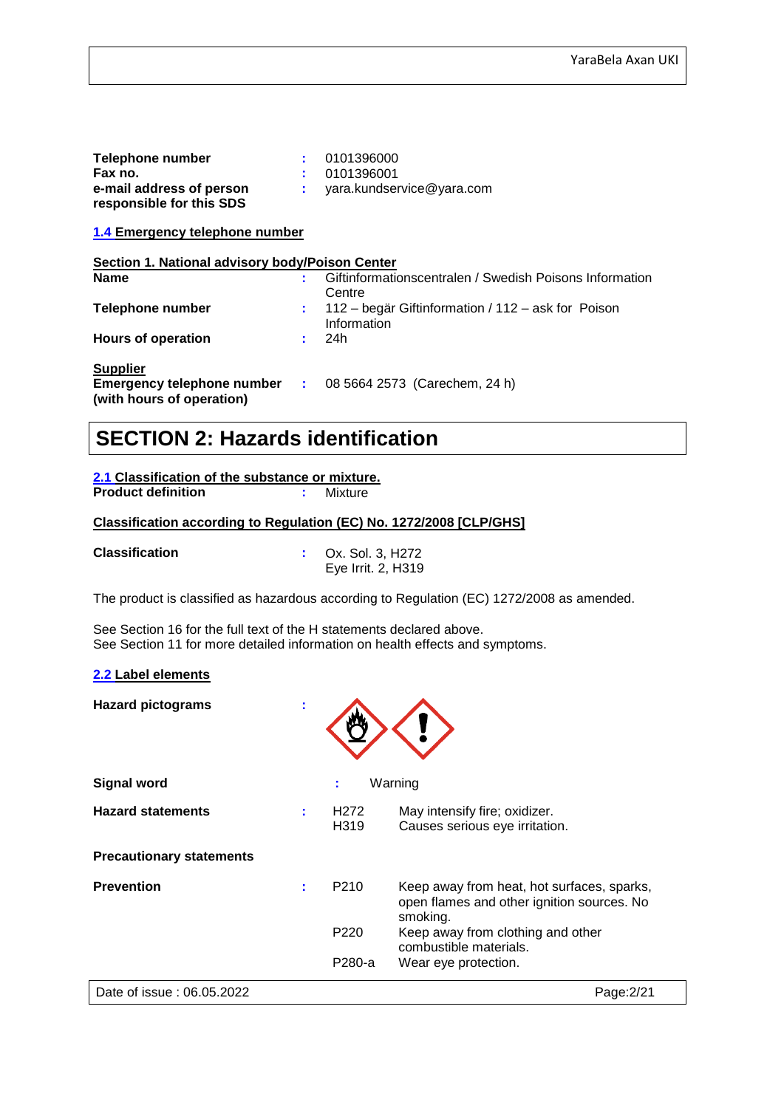| Telephone number                                                             |     | 0101396000                                                        |
|------------------------------------------------------------------------------|-----|-------------------------------------------------------------------|
| Fax no.                                                                      |     | 0101396001                                                        |
| e-mail address of person<br>responsible for this SDS                         |     | yara.kundservice@yara.com                                         |
| 1.4 Emergency telephone number                                               |     |                                                                   |
| Section 1. National advisory body/Poison Center                              |     |                                                                   |
| <b>Name</b>                                                                  |     | Giftinformationscentralen / Swedish Poisons Information<br>Centre |
| Telephone number                                                             | t.  | 112 – begär Giftinformation / 112 – ask for Poison<br>Information |
| <b>Hours of operation</b>                                                    | t i | 24h                                                               |
| <b>Supplier</b><br>Emergency telephone number :<br>(with hours of operation) |     | 08 5664 2573 (Carechem, 24 h)                                     |

# **SECTION 2: Hazards identification**

**2.1 Classification of the substance or mixture. Product definition :** Mixture

#### **Classification according to Regulation (EC) No. 1272/2008 [CLP/GHS]**

**Classification :** Ox. Sol. 3, H272 Eye Irrit. 2, H319

The product is classified as hazardous according to Regulation (EC) 1272/2008 as amended.

See Section 16 for the full text of the H statements declared above. See Section 11 for more detailed information on health effects and symptoms.

#### **2.2 Label elements**

**Hazard pictograms :**

| <b>Signal word</b>              | ÷                         | Warning                                                                                              |
|---------------------------------|---------------------------|------------------------------------------------------------------------------------------------------|
| <b>Hazard statements</b>        | H <sub>2</sub> 72<br>H319 | May intensify fire; oxidizer.<br>Causes serious eye irritation.                                      |
| <b>Precautionary statements</b> |                           |                                                                                                      |
| <b>Prevention</b>               | P <sub>210</sub>          | Keep away from heat, hot surfaces, sparks,<br>open flames and other ignition sources. No<br>smoking. |
|                                 | P <sub>220</sub>          | Keep away from clothing and other<br>combustible materials.                                          |
|                                 | P280-a                    | Wear eye protection.                                                                                 |
| Date of issue: 06.05.2022       |                           | Page: 2/21                                                                                           |

 $\triangle$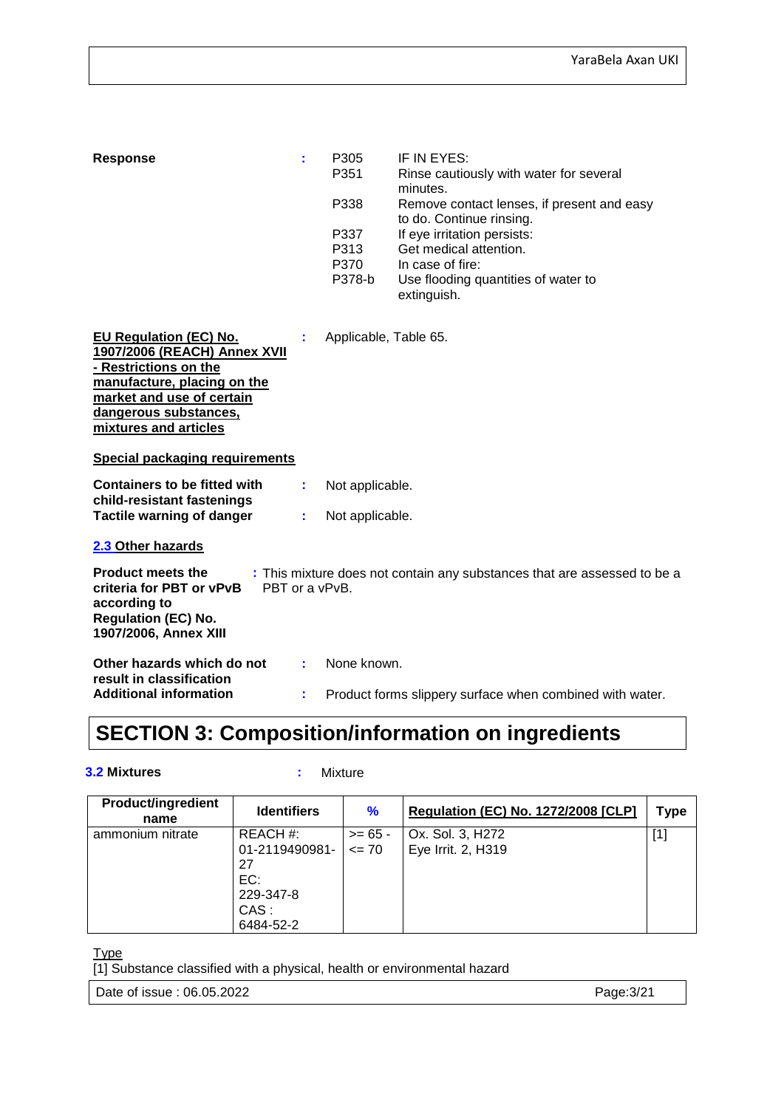| <b>Response</b>                                                                                                                                                                                                                               | ÷  | P305<br>P351<br>P338           | IF IN EYES:<br>Rinse cautiously with water for several<br>minutes.<br>Remove contact lenses, if present and easy                                            |
|-----------------------------------------------------------------------------------------------------------------------------------------------------------------------------------------------------------------------------------------------|----|--------------------------------|-------------------------------------------------------------------------------------------------------------------------------------------------------------|
|                                                                                                                                                                                                                                               |    | P337<br>P313<br>P370<br>P378-b | to do. Continue rinsing.<br>If eye irritation persists:<br>Get medical attention.<br>In case of fire:<br>Use flooding quantities of water to<br>extinguish. |
| <b>EU Regulation (EC) No.</b><br>1907/2006 (REACH) Annex XVII<br>- Restrictions on the<br>manufacture, placing on the<br>market and use of certain<br>dangerous substances,<br>mixtures and articles<br><b>Special packaging requirements</b> |    | Applicable, Table 65.          |                                                                                                                                                             |
| <b>Containers to be fitted with</b><br>child-resistant fastenings                                                                                                                                                                             | t. | Not applicable.                |                                                                                                                                                             |
| <b>Tactile warning of danger</b>                                                                                                                                                                                                              | ÷. | Not applicable.                |                                                                                                                                                             |
| 2.3 Other hazards                                                                                                                                                                                                                             |    |                                |                                                                                                                                                             |
| <b>Product meets the</b><br>: This mixture does not contain any substances that are assessed to be a<br>criteria for PBT or vPvB<br>PBT or a vPvB.<br>according to<br><b>Regulation (EC) No.</b><br>1907/2006, Annex XIII                     |    |                                |                                                                                                                                                             |
| Other hazards which do not<br>result in classification                                                                                                                                                                                        | ÷. | None known.                    |                                                                                                                                                             |
| <b>Additional information</b>                                                                                                                                                                                                                 | ÷  |                                | Product forms slippery surface when combined with water.                                                                                                    |

# **SECTION 3: Composition/information on ingredients**

#### **3.2 Mixtures :** Mixture

| <b>Product/ingredient</b><br>name | <b>Identifiers</b>                                                        | $\frac{9}{6}$          | <b>Regulation (EC) No. 1272/2008 [CLP]</b> | Type  |
|-----------------------------------|---------------------------------------------------------------------------|------------------------|--------------------------------------------|-------|
| ammonium nitrate                  | REACH #:<br>01-2119490981-<br>27<br>EC:<br>229-347-8<br>CAS:<br>6484-52-2 | $>= 65 -$<br>$\leq$ 70 | Ox. Sol. 3, H272<br>Eye Irrit. 2, H319     | $[1]$ |

Type

[1] Substance classified with a physical, health or environmental hazard

Date of issue : 06.05.2022 **Page:3/21**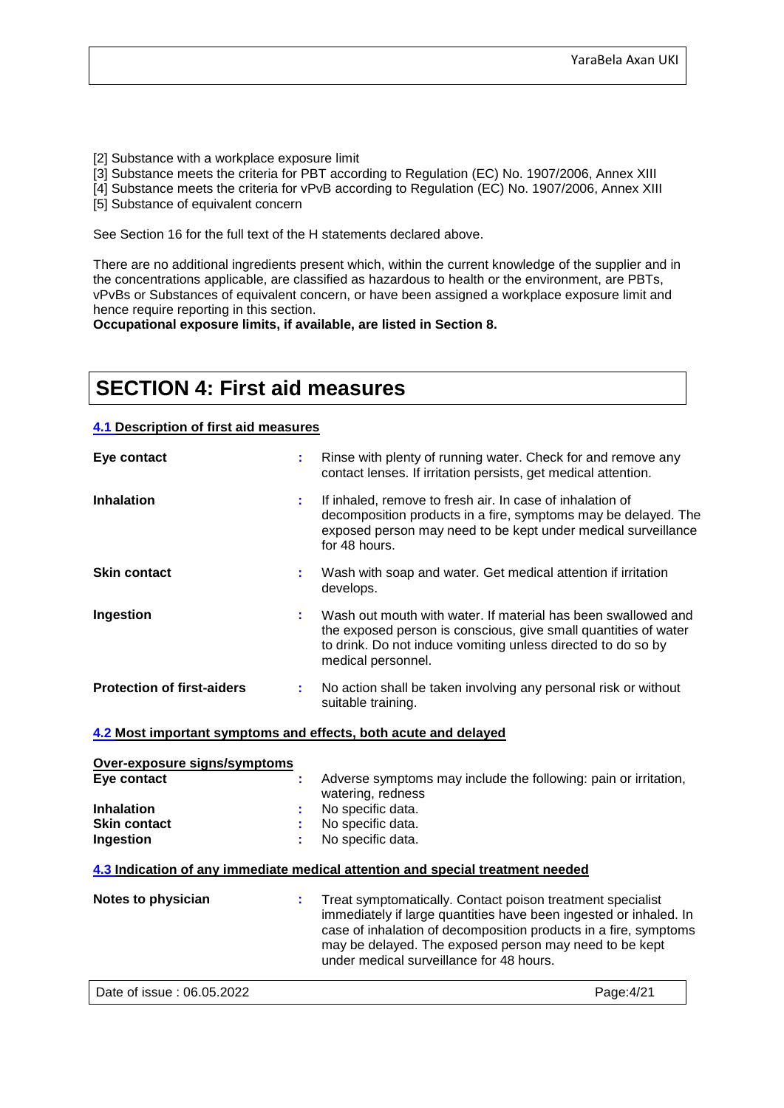[2] Substance with a workplace exposure limit

[3] Substance meets the criteria for PBT according to Regulation (EC) No. 1907/2006, Annex XIII

[4] Substance meets the criteria for vPvB according to Regulation (EC) No. 1907/2006, Annex XIII

[5] Substance of equivalent concern

See Section 16 for the full text of the H statements declared above.

There are no additional ingredients present which, within the current knowledge of the supplier and in the concentrations applicable, are classified as hazardous to health or the environment, are PBTs, vPvBs or Substances of equivalent concern, or have been assigned a workplace exposure limit and hence require reporting in this section.

**Occupational exposure limits, if available, are listed in Section 8.**

## **SECTION 4: First aid measures**

#### **4.1 Description of first aid measures**

| Eye contact                                                     |    | Rinse with plenty of running water. Check for and remove any<br>contact lenses. If irritation persists, get medical attention.                                                                                         |
|-----------------------------------------------------------------|----|------------------------------------------------------------------------------------------------------------------------------------------------------------------------------------------------------------------------|
| <b>Inhalation</b>                                               | ÷. | If inhaled, remove to fresh air. In case of inhalation of<br>decomposition products in a fire, symptoms may be delayed. The<br>exposed person may need to be kept under medical surveillance<br>for 48 hours.          |
| <b>Skin contact</b>                                             |    | Wash with soap and water. Get medical attention if irritation<br>develops.                                                                                                                                             |
| Ingestion                                                       |    | Wash out mouth with water. If material has been swallowed and<br>the exposed person is conscious, give small quantities of water<br>to drink. Do not induce vomiting unless directed to do so by<br>medical personnel. |
| <b>Protection of first-aiders</b>                               |    | No action shall be taken involving any personal risk or without<br>suitable training.                                                                                                                                  |
| 4.2 Most important symptoms and effects, both acute and delayed |    |                                                                                                                                                                                                                        |
| Over-exposure signs/symptoms<br>Eye contact                     |    | Adverse symptoms may include the following: pain or irritation,                                                                                                                                                        |

| 4.3 Indication of any immediate medical attention and special treatment needed |                     |  |  |
|--------------------------------------------------------------------------------|---------------------|--|--|
| Ingestion                                                                      | : No specific data. |  |  |
| <b>Skin contact</b>                                                            | : No specific data. |  |  |
| <b>Inhalation</b>                                                              | No specific data.   |  |  |
|                                                                                | watering, redness   |  |  |

| Notes to physician | Treat symptomatically. Contact poison treatment specialist<br>immediately if large quantities have been ingested or inhaled. In<br>case of inhalation of decomposition products in a fire, symptoms<br>may be delayed. The exposed person may need to be kept<br>under medical surveillance for 48 hours. |
|--------------------|-----------------------------------------------------------------------------------------------------------------------------------------------------------------------------------------------------------------------------------------------------------------------------------------------------------|
|                    |                                                                                                                                                                                                                                                                                                           |

Date of issue : 06.05.2022 **Page:4/21**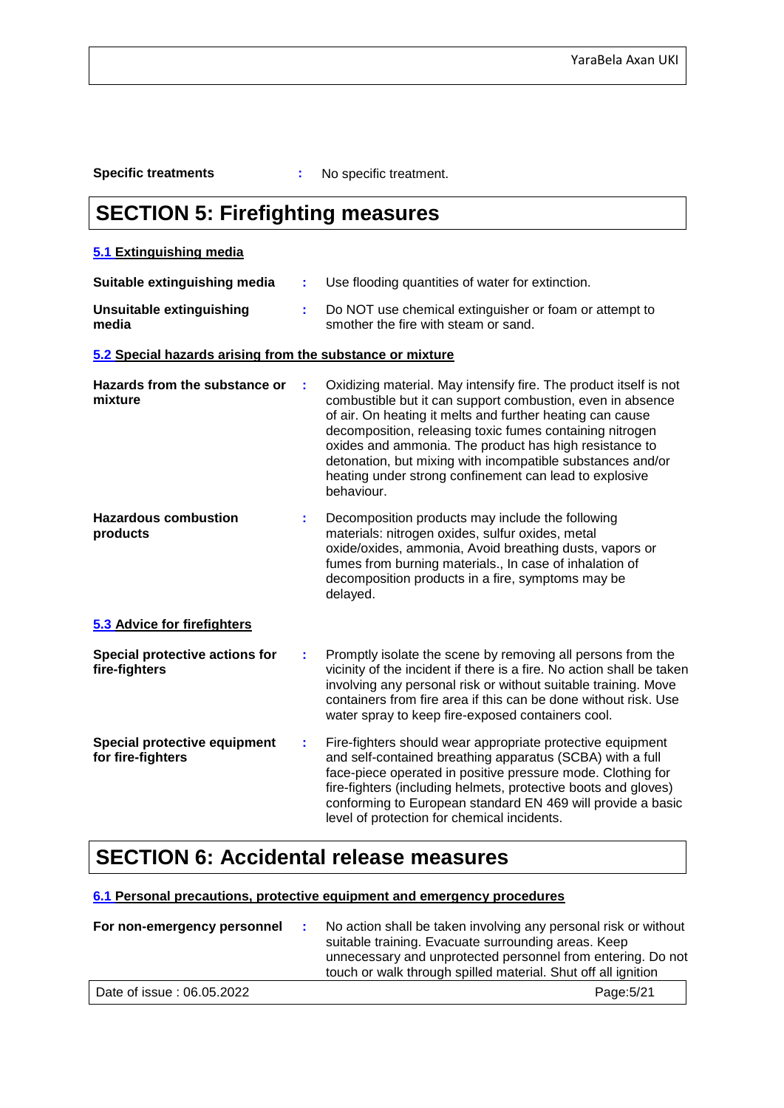**Specific treatments :** No specific treatment.

# **SECTION 5: Firefighting measures**

### **5.1 Extinguishing media**

| Suitable extinguishing media                              | ÷. | Use flooding quantities of water for extinction.                                                                                                                                                                                                                                                                                                                                                                                                         |
|-----------------------------------------------------------|----|----------------------------------------------------------------------------------------------------------------------------------------------------------------------------------------------------------------------------------------------------------------------------------------------------------------------------------------------------------------------------------------------------------------------------------------------------------|
| <b>Unsuitable extinguishing</b><br>media                  | ÷. | Do NOT use chemical extinguisher or foam or attempt to<br>smother the fire with steam or sand.                                                                                                                                                                                                                                                                                                                                                           |
| 5.2 Special hazards arising from the substance or mixture |    |                                                                                                                                                                                                                                                                                                                                                                                                                                                          |
| Hazards from the substance or<br>mixture                  | t  | Oxidizing material. May intensify fire. The product itself is not<br>combustible but it can support combustion, even in absence<br>of air. On heating it melts and further heating can cause<br>decomposition, releasing toxic fumes containing nitrogen<br>oxides and ammonia. The product has high resistance to<br>detonation, but mixing with incompatible substances and/or<br>heating under strong confinement can lead to explosive<br>behaviour. |
| <b>Hazardous combustion</b><br>products                   | ÷. | Decomposition products may include the following<br>materials: nitrogen oxides, sulfur oxides, metal<br>oxide/oxides, ammonia, Avoid breathing dusts, vapors or<br>fumes from burning materials., In case of inhalation of<br>decomposition products in a fire, symptoms may be<br>delayed.                                                                                                                                                              |
| 5.3 Advice for firefighters                               |    |                                                                                                                                                                                                                                                                                                                                                                                                                                                          |
| Special protective actions for<br>fire-fighters           | ÷. | Promptly isolate the scene by removing all persons from the<br>vicinity of the incident if there is a fire. No action shall be taken<br>involving any personal risk or without suitable training. Move<br>containers from fire area if this can be done without risk. Use<br>water spray to keep fire-exposed containers cool.                                                                                                                           |
| <b>Special protective equipment</b><br>for fire-fighters  | ÷. | Fire-fighters should wear appropriate protective equipment<br>and self-contained breathing apparatus (SCBA) with a full<br>face-piece operated in positive pressure mode. Clothing for<br>fire-fighters (including helmets, protective boots and gloves)<br>conforming to European standard EN 469 will provide a basic<br>level of protection for chemical incidents.                                                                                   |

## **SECTION 6: Accidental release measures**

#### **6.1 Personal precautions, protective equipment and emergency procedures**

| For non-emergency personnel | No action shall be taken involving any personal risk or without<br>suitable training. Evacuate surrounding areas. Keep<br>unnecessary and unprotected personnel from entering. Do not |
|-----------------------------|---------------------------------------------------------------------------------------------------------------------------------------------------------------------------------------|
|                             | touch or walk through spilled material. Shut off all ignition                                                                                                                         |
| Date of issue: 06.05.2022   | Page: 5/21                                                                                                                                                                            |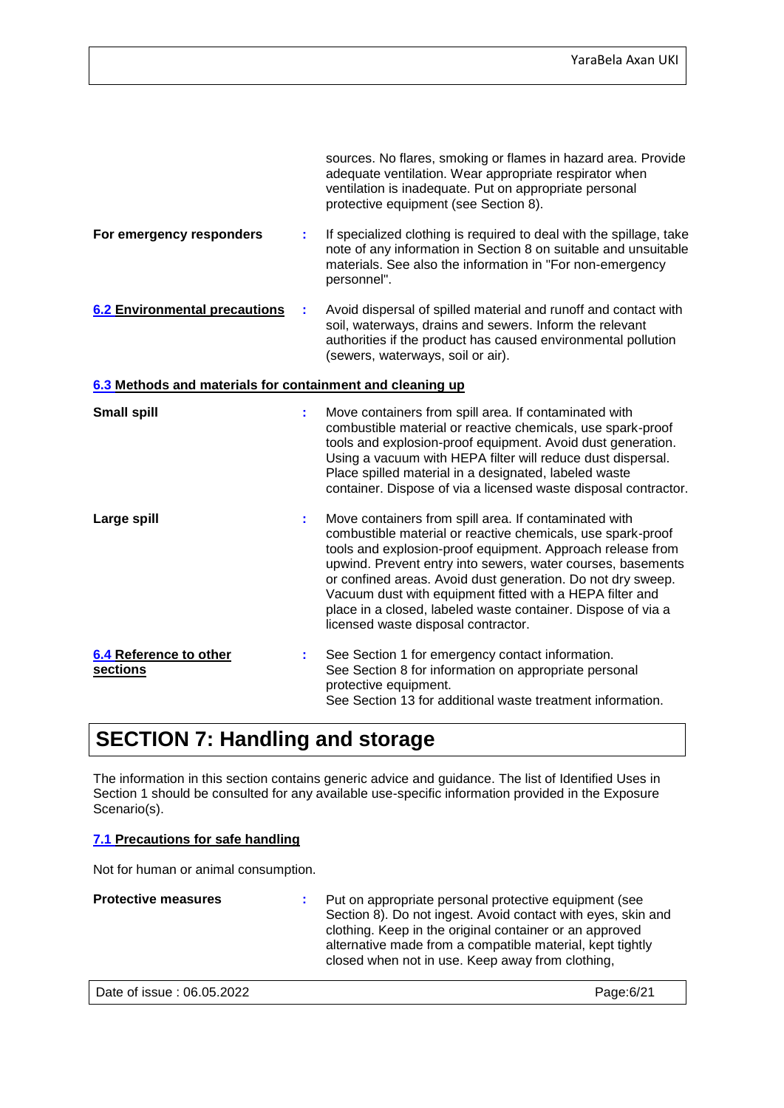|                                                           |   | sources. No flares, smoking or flames in hazard area. Provide<br>adequate ventilation. Wear appropriate respirator when<br>ventilation is inadequate. Put on appropriate personal<br>protective equipment (see Section 8).                                                                                                                                                                                                                                                          |
|-----------------------------------------------------------|---|-------------------------------------------------------------------------------------------------------------------------------------------------------------------------------------------------------------------------------------------------------------------------------------------------------------------------------------------------------------------------------------------------------------------------------------------------------------------------------------|
| For emergency responders                                  | t | If specialized clothing is required to deal with the spillage, take<br>note of any information in Section 8 on suitable and unsuitable<br>materials. See also the information in "For non-emergency<br>personnel".                                                                                                                                                                                                                                                                  |
| <b>6.2 Environmental precautions</b>                      | t | Avoid dispersal of spilled material and runoff and contact with<br>soil, waterways, drains and sewers. Inform the relevant<br>authorities if the product has caused environmental pollution<br>(sewers, waterways, soil or air).                                                                                                                                                                                                                                                    |
| 6.3 Methods and materials for containment and cleaning up |   |                                                                                                                                                                                                                                                                                                                                                                                                                                                                                     |
| <b>Small spill</b>                                        | t | Move containers from spill area. If contaminated with<br>combustible material or reactive chemicals, use spark-proof<br>tools and explosion-proof equipment. Avoid dust generation.<br>Using a vacuum with HEPA filter will reduce dust dispersal.<br>Place spilled material in a designated, labeled waste<br>container. Dispose of via a licensed waste disposal contractor.                                                                                                      |
| Large spill                                               | t | Move containers from spill area. If contaminated with<br>combustible material or reactive chemicals, use spark-proof<br>tools and explosion-proof equipment. Approach release from<br>upwind. Prevent entry into sewers, water courses, basements<br>or confined areas. Avoid dust generation. Do not dry sweep.<br>Vacuum dust with equipment fitted with a HEPA filter and<br>place in a closed, labeled waste container. Dispose of via a<br>licensed waste disposal contractor. |
| 6.4 Reference to other<br>sections                        |   | See Section 1 for emergency contact information.<br>See Section 8 for information on appropriate personal<br>protective equipment.<br>See Section 13 for additional waste treatment information.                                                                                                                                                                                                                                                                                    |

# **SECTION 7: Handling and storage**

The information in this section contains generic advice and guidance. The list of Identified Uses in Section 1 should be consulted for any available use-specific information provided in the Exposure Scenario(s).

#### **7.1 Precautions for safe handling**

Not for human or animal consumption.

| <b>Protective measures</b> | : Put on appropriate personal protective equipment (see<br>Section 8). Do not ingest. Avoid contact with eyes, skin and<br>clothing. Keep in the original container or an approved<br>alternative made from a compatible material, kept tightly<br>closed when not in use. Keep away from clothing, |
|----------------------------|-----------------------------------------------------------------------------------------------------------------------------------------------------------------------------------------------------------------------------------------------------------------------------------------------------|
| Date of issue: 06.05.2022  | Page:6/21                                                                                                                                                                                                                                                                                           |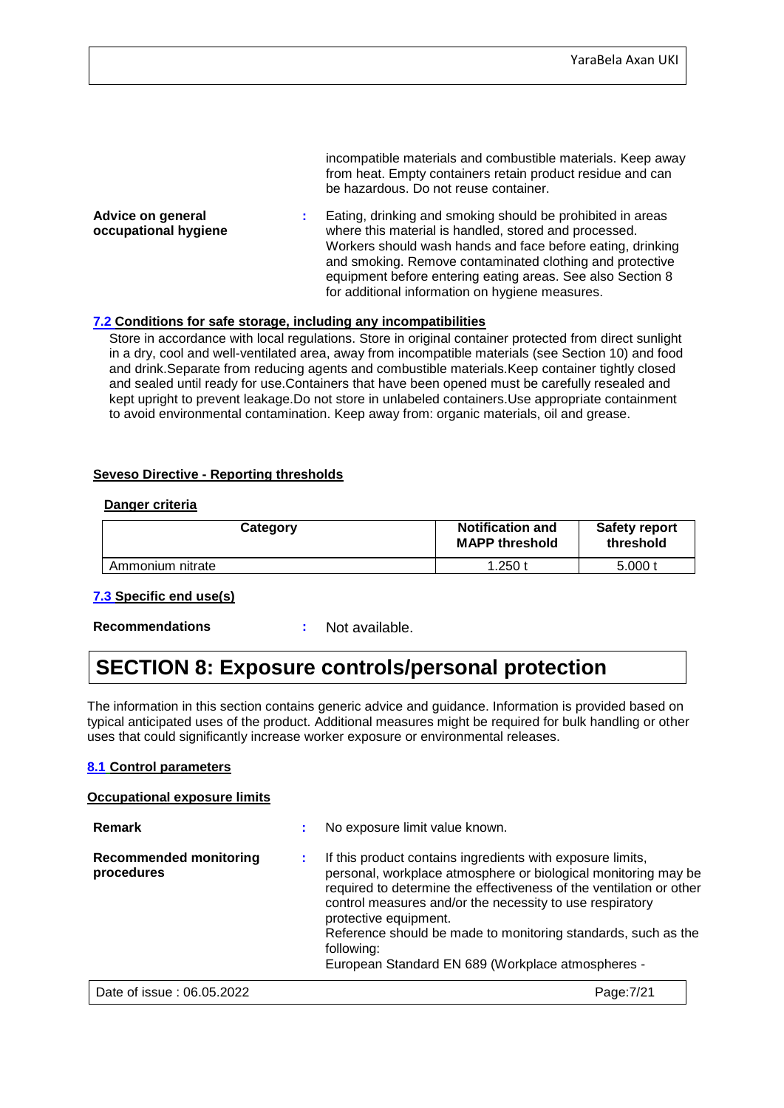incompatible materials and combustible materials. Keep away from heat. Empty containers retain product residue and can be hazardous. Do not reuse container.

**Advice on general occupational hygiene :** Eating, drinking and smoking should be prohibited in areas where this material is handled, stored and processed. Workers should wash hands and face before eating, drinking and smoking. Remove contaminated clothing and protective equipment before entering eating areas. See also Section 8 for additional information on hygiene measures.

#### **7.2 Conditions for safe storage, including any incompatibilities**

Store in accordance with local regulations. Store in original container protected from direct sunlight in a dry, cool and well-ventilated area, away from incompatible materials (see Section 10) and food and drink.Separate from reducing agents and combustible materials.Keep container tightly closed and sealed until ready for use.Containers that have been opened must be carefully resealed and kept upright to prevent leakage.Do not store in unlabeled containers.Use appropriate containment to avoid environmental contamination. Keep away from: organic materials, oil and grease.

#### **Seveso Directive - Reporting thresholds**

#### **Danger criteria**

| Category         | <b>Notification and</b><br><b>MAPP threshold</b> | <b>Safety report</b><br>threshold |  |
|------------------|--------------------------------------------------|-----------------------------------|--|
| Ammonium nitrate | 1.250 t                                          | 5.000 t                           |  |

#### **7.3 Specific end use(s)**

**Recommendations :** Not available.

## **SECTION 8: Exposure controls/personal protection**

The information in this section contains generic advice and guidance. Information is provided based on typical anticipated uses of the product. Additional measures might be required for bulk handling or other uses that could significantly increase worker exposure or environmental releases.

#### **8.1 Control parameters**

#### **Occupational exposure limits**

| <b>Remark</b>                               | No exposure limit value known.                                                                                                                                                                                                                                                                                                                                                                                               |
|---------------------------------------------|------------------------------------------------------------------------------------------------------------------------------------------------------------------------------------------------------------------------------------------------------------------------------------------------------------------------------------------------------------------------------------------------------------------------------|
| <b>Recommended monitoring</b><br>procedures | If this product contains ingredients with exposure limits,<br>personal, workplace atmosphere or biological monitoring may be<br>required to determine the effectiveness of the ventilation or other<br>control measures and/or the necessity to use respiratory<br>protective equipment.<br>Reference should be made to monitoring standards, such as the<br>following:<br>European Standard EN 689 (Workplace atmospheres - |
| Date of issue: 06.05.2022                   | Page: 7/21                                                                                                                                                                                                                                                                                                                                                                                                                   |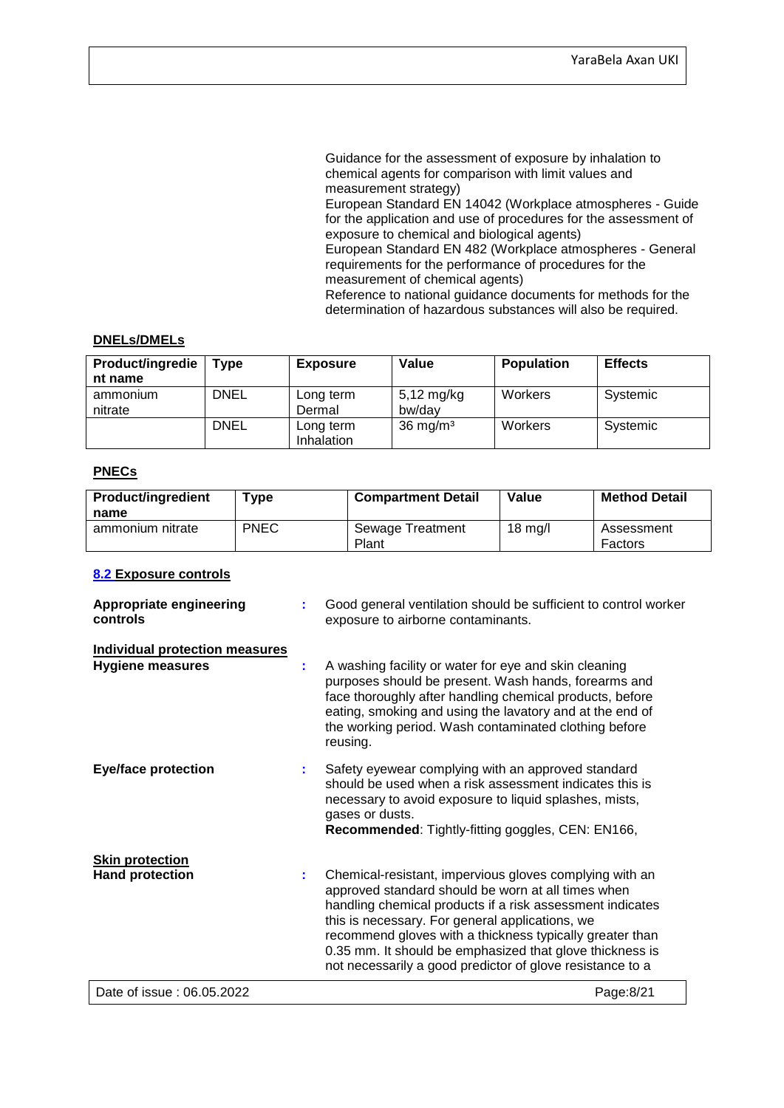Guidance for the assessment of exposure by inhalation to chemical agents for comparison with limit values and measurement strategy)

European Standard EN 14042 (Workplace atmospheres - Guide for the application and use of procedures for the assessment of exposure to chemical and biological agents)

European Standard EN 482 (Workplace atmospheres - General requirements for the performance of procedures for the measurement of chemical agents)

Reference to national guidance documents for methods for the determination of hazardous substances will also be required.

#### **DNELs/DMELs**

| <b>Product/ingredie</b><br>nt name | $\mathsf{Type}$ | <b>Exposure</b>         | Value                          | <b>Population</b> | <b>Effects</b> |
|------------------------------------|-----------------|-------------------------|--------------------------------|-------------------|----------------|
| ammonium<br>nitrate                | <b>DNEL</b>     | Long term<br>Dermal     | $5,12 \text{ mg/kg}$<br>bw/dav | Workers           | Systemic       |
|                                    | <b>DNEL</b>     | Long term<br>Inhalation | $36 \text{ mg/m}^3$            | Workers           | Systemic       |

#### **PNECs**

| <b>Product/ingredient</b><br>name | $T$ ype     | <b>Compartment Detail</b> | Value            | <b>Method Detail</b>  |
|-----------------------------------|-------------|---------------------------|------------------|-----------------------|
| ammonium nitrate                  | <b>PNEC</b> | Sewage Treatment<br>Plant | $18 \text{ rad}$ | Assessment<br>Factors |

#### **8.2 Exposure controls**

| <b>Appropriate engineering</b><br>controls                |    | Good general ventilation should be sufficient to control worker<br>exposure to airborne contaminants.                                                                                                                                                                                                                                                                                                              |
|-----------------------------------------------------------|----|--------------------------------------------------------------------------------------------------------------------------------------------------------------------------------------------------------------------------------------------------------------------------------------------------------------------------------------------------------------------------------------------------------------------|
| <b>Individual protection measures</b><br>Hygiene measures | ÷. | A washing facility or water for eye and skin cleaning<br>purposes should be present. Wash hands, forearms and<br>face thoroughly after handling chemical products, before<br>eating, smoking and using the lavatory and at the end of<br>the working period. Wash contaminated clothing before<br>reusing.                                                                                                         |
| <b>Eye/face protection</b>                                | ÷  | Safety eyewear complying with an approved standard<br>should be used when a risk assessment indicates this is<br>necessary to avoid exposure to liquid splashes, mists,<br>gases or dusts.<br>Recommended: Tightly-fitting goggles, CEN: EN166,                                                                                                                                                                    |
| <b>Skin protection</b><br><b>Hand protection</b>          | t  | Chemical-resistant, impervious gloves complying with an<br>approved standard should be worn at all times when<br>handling chemical products if a risk assessment indicates<br>this is necessary. For general applications, we<br>recommend gloves with a thickness typically greater than<br>0.35 mm. It should be emphasized that glove thickness is<br>not necessarily a good predictor of glove resistance to a |
| Date of issue: 06.05.2022                                 |    | Page:8/21                                                                                                                                                                                                                                                                                                                                                                                                          |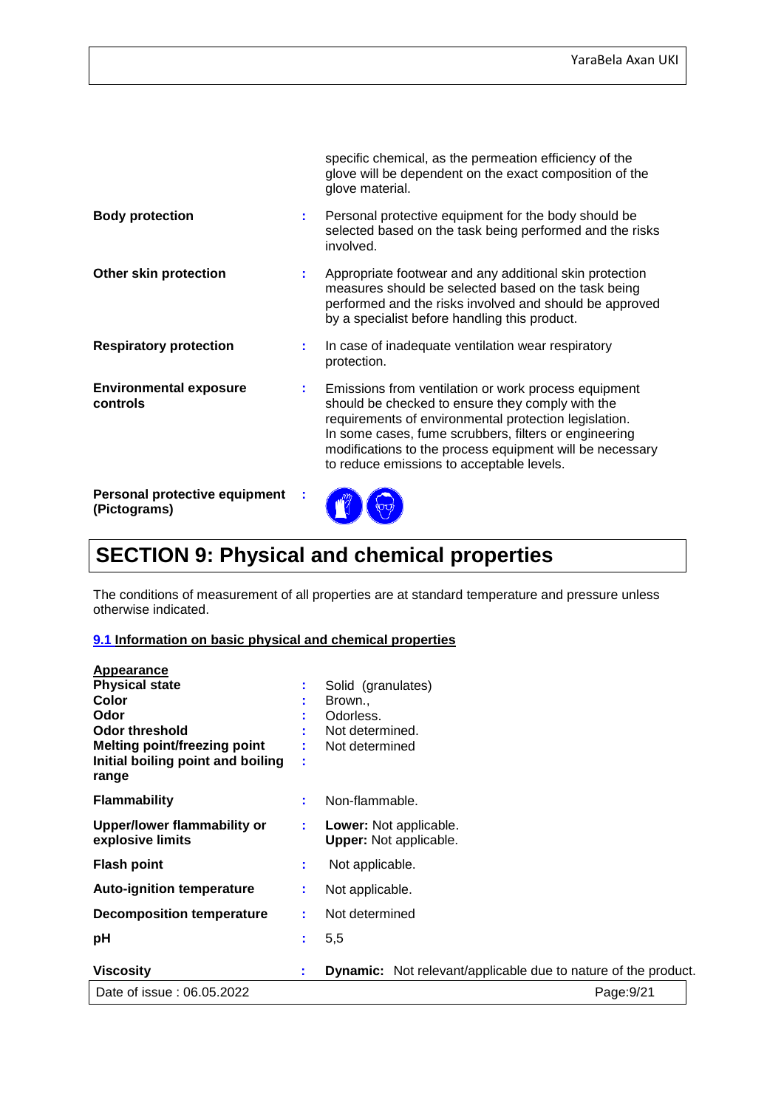|                                               |    | specific chemical, as the permeation efficiency of the<br>glove will be dependent on the exact composition of the<br>glove material.                                                                                                                                                                                                |
|-----------------------------------------------|----|-------------------------------------------------------------------------------------------------------------------------------------------------------------------------------------------------------------------------------------------------------------------------------------------------------------------------------------|
| <b>Body protection</b>                        | ÷. | Personal protective equipment for the body should be<br>selected based on the task being performed and the risks<br>involved.                                                                                                                                                                                                       |
| Other skin protection                         | ÷  | Appropriate footwear and any additional skin protection<br>measures should be selected based on the task being<br>performed and the risks involved and should be approved<br>by a specialist before handling this product.                                                                                                          |
| <b>Respiratory protection</b>                 | ÷. | In case of inadequate ventilation wear respiratory<br>protection.                                                                                                                                                                                                                                                                   |
| <b>Environmental exposure</b><br>controls     | ÷. | Emissions from ventilation or work process equipment<br>should be checked to ensure they comply with the<br>requirements of environmental protection legislation.<br>In some cases, fume scrubbers, filters or engineering<br>modifications to the process equipment will be necessary<br>to reduce emissions to acceptable levels. |
| Personal protective equipment<br>(Pictograms) |    |                                                                                                                                                                                                                                                                                                                                     |

# **SECTION 9: Physical and chemical properties**

The conditions of measurement of all properties are at standard temperature and pressure unless otherwise indicated.

#### **9.1 Information on basic physical and chemical properties**

| <b>Appearance</b>                                      |        |                                                                       |
|--------------------------------------------------------|--------|-----------------------------------------------------------------------|
| <b>Physical state</b>                                  |        | Solid (granulates)                                                    |
| Color                                                  |        | Brown.,                                                               |
| Odor                                                   |        | Odorless.                                                             |
| Odor threshold                                         |        | Not determined.                                                       |
| <b>Melting point/freezing point</b>                    |        | Not determined                                                        |
| Initial boiling point and boiling<br>range             | ٠<br>٠ |                                                                       |
| <b>Flammability</b>                                    | ÷      | Non-flammable.                                                        |
| <b>Upper/lower flammability or</b><br>explosive limits |        | <b>Lower:</b> Not applicable.<br><b>Upper:</b> Not applicable.        |
| <b>Flash point</b>                                     | ÷      | Not applicable.                                                       |
| <b>Auto-ignition temperature</b>                       |        | Not applicable.                                                       |
| Decomposition temperature                              | ÷      | Not determined                                                        |
| рH                                                     |        | 5,5                                                                   |
| <b>Viscosity</b>                                       | t.     | <b>Dynamic:</b> Not relevant/applicable due to nature of the product. |
| Date of issue: 06.05.2022                              |        | Page:9/21                                                             |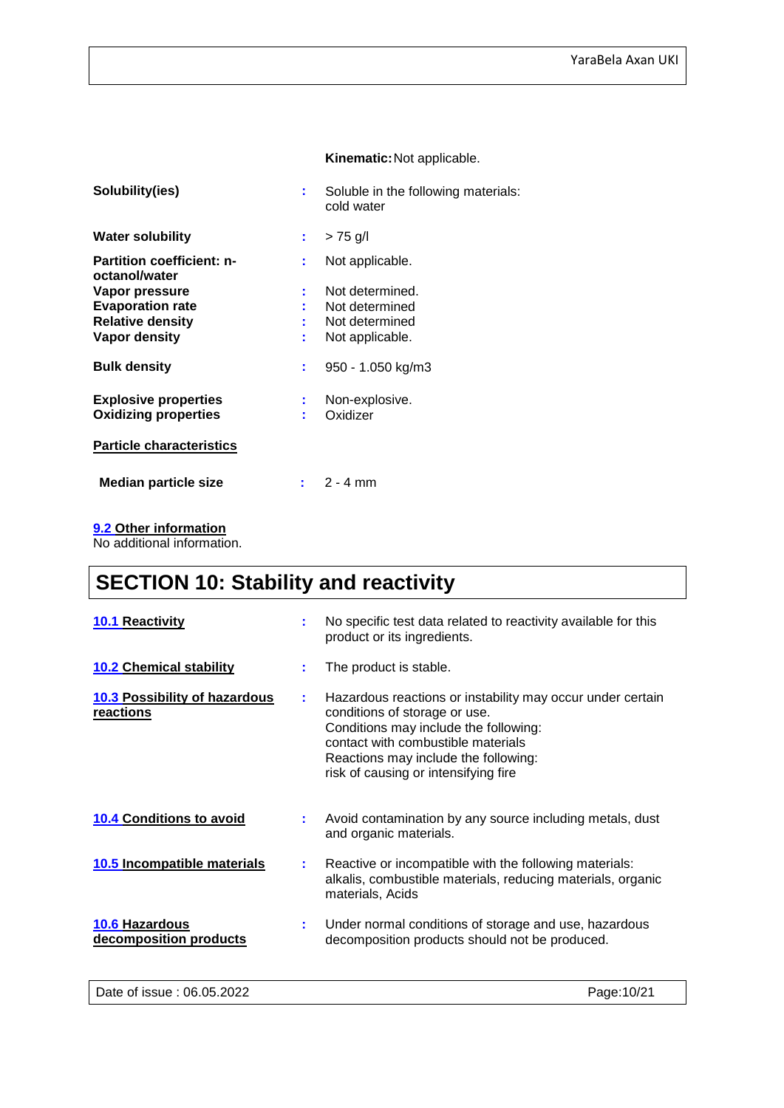#### **Kinematic:**Not applicable.

| ÷   | Soluble in the following materials:<br>cold water |
|-----|---------------------------------------------------|
| t i | $> 75$ g/l                                        |
| ÷.  | Not applicable.                                   |
| ÷.  | Not determined.                                   |
|     | Not determined                                    |
|     | Not determined                                    |
| ÷   | Not applicable.                                   |
| ÷.  | 950 - 1.050 kg/m3                                 |
|     | Non-explosive.                                    |
|     | Oxidizer                                          |
|     |                                                   |
|     |                                                   |
|     | $: 2 - 4$ mm                                      |
|     | ÷.<br>÷.                                          |

#### **9.2 Other information**

No additional information.

# **SECTION 10: Stability and reactivity**

| <b>10.1 Reactivity</b>                     | ÷ | No specific test data related to reactivity available for this<br>product or its ingredients.                                                                                                                                                              |
|--------------------------------------------|---|------------------------------------------------------------------------------------------------------------------------------------------------------------------------------------------------------------------------------------------------------------|
| <b>10.2 Chemical stability</b>             |   | The product is stable.                                                                                                                                                                                                                                     |
| 10.3 Possibility of hazardous<br>reactions | ÷ | Hazardous reactions or instability may occur under certain<br>conditions of storage or use.<br>Conditions may include the following:<br>contact with combustible materials<br>Reactions may include the following:<br>risk of causing or intensifying fire |
| <b>10.4 Conditions to avoid</b>            | ÷ | Avoid contamination by any source including metals, dust<br>and organic materials.                                                                                                                                                                         |
| 10.5 Incompatible materials                | ÷ | Reactive or incompatible with the following materials:<br>alkalis, combustible materials, reducing materials, organic<br>materials, Acids                                                                                                                  |
| 10.6 Hazardous<br>decomposition products   | ÷ | Under normal conditions of storage and use, hazardous<br>decomposition products should not be produced.                                                                                                                                                    |
| Date of issue: 06.05.2022                  |   | Page: 10/21                                                                                                                                                                                                                                                |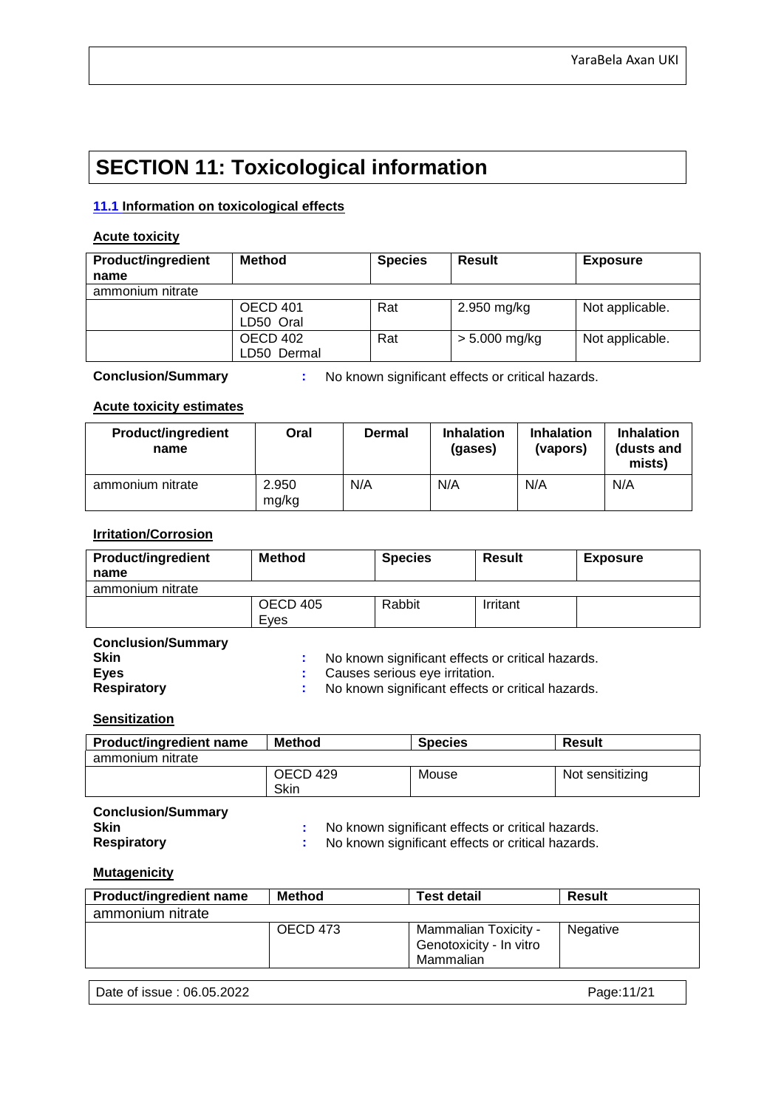# **SECTION 11: Toxicological information**

#### **11.1 Information on toxicological effects**

#### **Acute toxicity**

| <b>Product/ingredient</b> | <b>Method</b> | <b>Species</b> | Result          | <b>Exposure</b> |
|---------------------------|---------------|----------------|-----------------|-----------------|
| name                      |               |                |                 |                 |
| ammonium nitrate          |               |                |                 |                 |
|                           | OECD 401      | Rat            | 2.950 mg/kg     | Not applicable. |
|                           | LD50 Oral     |                |                 |                 |
|                           | OECD 402      | Rat            | $> 5.000$ mg/kg | Not applicable. |
|                           | LD50 Dermal   |                |                 |                 |

**Conclusion/Summary :** No known significant effects or critical hazards.

#### **Acute toxicity estimates**

| <b>Product/ingredient</b><br>name | Oral           | Dermal | <b>Inhalation</b><br>(gases) | <b>Inhalation</b><br>(vapors) | <b>Inhalation</b><br>(dusts and<br>mists) |
|-----------------------------------|----------------|--------|------------------------------|-------------------------------|-------------------------------------------|
| ammonium nitrate                  | 2.950<br>mg/kg | N/A    | N/A                          | N/A                           | N/A                                       |

#### **Irritation/Corrosion**

| <b>Product/ingredient</b><br>name | <b>Method</b>   | <b>Species</b> | <b>Result</b> | <b>Exposure</b> |
|-----------------------------------|-----------------|----------------|---------------|-----------------|
| ammonium nitrate                  |                 |                |               |                 |
|                                   | <b>OECD 405</b> | Rabbit         | Irritant      |                 |
|                                   | Eves            |                |               |                 |
| $\sim$ $\sim$ $\sim$ $\sim$       |                 |                |               |                 |

| <b>Conclusion/Summary</b> |                                                     |
|---------------------------|-----------------------------------------------------|
| <b>Skin</b>               | No known significant effects or critical hazards.   |
| <b>Eves</b>               | : Causes serious eye irritation.                    |
| Respiratory               | : No known significant effects or critical hazards. |

#### **Sensitization**

| <b>Product/ingredient name</b> | <b>Method</b> | <b>Species</b> | <b>Result</b>   |
|--------------------------------|---------------|----------------|-----------------|
| ammonium nitrate               |               |                |                 |
|                                | OECD 429      | Mouse          | Not sensitizing |
|                                | <b>Skin</b>   |                |                 |

# **Conclusion/Summary**

**Skin Skin Example 2.1 Skin Example 2.1 Skin Example 2.1 Skin Example 2.1 Skin Example 2.1 Skin <b>Example 2.1 Skin Example 2.1 Skin <b>Example 2.1 Skin**  2.1 No known significant effects or critical hazards. **Respirative X** No known significant effects or critical hazards.

#### **Mutagenicity**

| <b>Product/ingredient name</b> | Method   | <b>Test detail</b>                                           | <b>Result</b> |
|--------------------------------|----------|--------------------------------------------------------------|---------------|
| ammonium nitrate               |          |                                                              |               |
|                                | OECD 473 | Mammalian Toxicity -<br>Genotoxicity - In vitro<br>Mammalian | Negative      |

| Date of issue: 06.05.2022 |
|---------------------------|
|---------------------------|

Page:11/21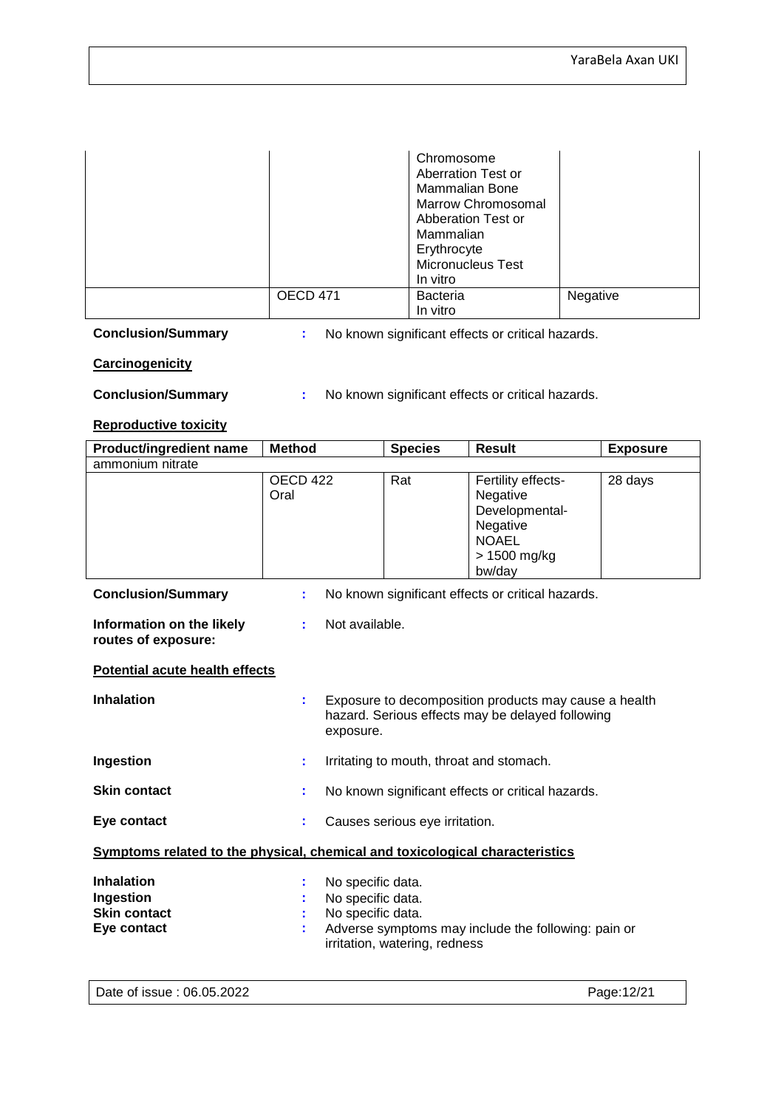|          | Chromosome<br>Aberration Test or<br>Mammalian Bone<br><b>Marrow Chromosomal</b><br>Abberation Test or<br>Mammalian<br>Erythrocyte<br><b>Micronucleus Test</b><br>In vitro |          |
|----------|---------------------------------------------------------------------------------------------------------------------------------------------------------------------------|----------|
| OECD 471 | <b>Bacteria</b><br>In vitro                                                                                                                                               | Negative |

**Conclusion/Summary :** No known significant effects or critical hazards.

#### **Carcinogenicity**

**Conclusion/Summary :** No known significant effects or critical hazards.

#### **Reproductive toxicity**

| <b>Product/ingredient name</b>                                               | <b>Method</b>                                               | <b>Species</b>                 | <b>Result</b>                                                                                             | <b>Exposure</b> |  |  |
|------------------------------------------------------------------------------|-------------------------------------------------------------|--------------------------------|-----------------------------------------------------------------------------------------------------------|-----------------|--|--|
| ammonium nitrate                                                             |                                                             |                                |                                                                                                           |                 |  |  |
|                                                                              | <b>OECD 422</b><br>Oral                                     | Rat                            | Fertility effects-<br>Negative<br>Developmental-<br>Negative<br><b>NOAEL</b><br>> 1500 mg/kg<br>bw/day    | 28 days         |  |  |
| <b>Conclusion/Summary</b>                                                    | ÷                                                           |                                | No known significant effects or critical hazards.                                                         |                 |  |  |
| Information on the likely<br>routes of exposure:                             | Not available.<br>÷                                         |                                |                                                                                                           |                 |  |  |
| <b>Potential acute health effects</b>                                        |                                                             |                                |                                                                                                           |                 |  |  |
| <b>Inhalation</b>                                                            | ř,<br>exposure.                                             |                                | Exposure to decomposition products may cause a health<br>hazard. Serious effects may be delayed following |                 |  |  |
| Ingestion                                                                    | t                                                           |                                | Irritating to mouth, throat and stomach.                                                                  |                 |  |  |
| <b>Skin contact</b>                                                          | t                                                           |                                | No known significant effects or critical hazards.                                                         |                 |  |  |
| Eye contact                                                                  |                                                             | Causes serious eye irritation. |                                                                                                           |                 |  |  |
| Symptoms related to the physical, chemical and toxicological characteristics |                                                             |                                |                                                                                                           |                 |  |  |
| <b>Inhalation</b><br>Ingestion<br><b>Skin contact</b><br>Eye contact         | No specific data.<br>No specific data.<br>No specific data. | irritation, watering, redness  | Adverse symptoms may include the following: pain or                                                       |                 |  |  |

Date of issue : 06.05.2022 **Page:12/21**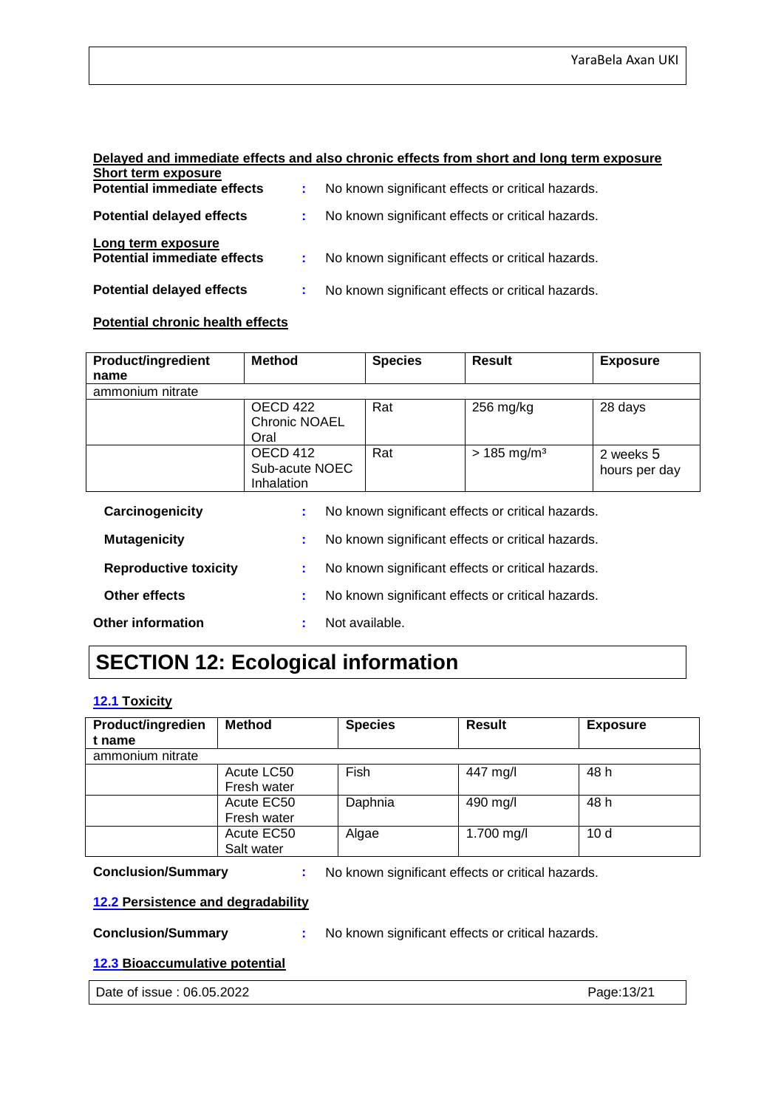#### **Delayed and immediate effects and also chronic effects from short and long term exposure Short term exposure**

| <b>Potential immediate effects</b>                       | : No known significant effects or critical hazards. |
|----------------------------------------------------------|-----------------------------------------------------|
| <b>Potential delayed effects</b>                         | : No known significant effects or critical hazards. |
| Long term exposure<br><b>Potential immediate effects</b> | : No known significant effects or critical hazards. |
| <b>Potential delayed effects</b>                         | No known significant effects or critical hazards.   |

#### **Potential chronic health effects**

| <b>Product/ingredient</b> | <b>Method</b>                            | <b>Species</b> | <b>Result</b>                                     | <b>Exposure</b>            |
|---------------------------|------------------------------------------|----------------|---------------------------------------------------|----------------------------|
| name                      |                                          |                |                                                   |                            |
| ammonium nitrate          |                                          |                |                                                   |                            |
|                           | OECD 422<br><b>Chronic NOAEL</b><br>Oral | Rat            | $256$ mg/kg                                       | 28 days                    |
|                           | OECD 412<br>Sub-acute NOEC<br>Inhalation | Rat            | $> 185$ mg/m <sup>3</sup>                         | 2 weeks 5<br>hours per day |
| Carcinogenicity           | ÷                                        |                | No known significant effects or critical hazards. |                            |
| <b>Mutagenicity</b>       | ä.                                       |                | No known significant effects or critical hazards. |                            |

| <b>Reproductive toxicity</b> | No known significant effects or critical hazards. |
|------------------------------|---------------------------------------------------|
|------------------------------|---------------------------------------------------|

| <b>Other effects</b> | No known significant effects or critical hazards. |
|----------------------|---------------------------------------------------|
|----------------------|---------------------------------------------------|

**Other information :** Not available.

# **SECTION 12: Ecological information**

#### **12.1 Toxicity**

| Product/ingredien | <b>Method</b> | <b>Species</b> | <b>Result</b> | <b>Exposure</b> |
|-------------------|---------------|----------------|---------------|-----------------|
| t name            |               |                |               |                 |
| ammonium nitrate  |               |                |               |                 |
|                   | Acute LC50    | Fish           | 447 mg/l      | 48 h            |
|                   | Fresh water   |                |               |                 |
|                   | Acute EC50    | Daphnia        | 490 mg/l      | 48 h            |
|                   | Fresh water   |                |               |                 |
|                   | Acute EC50    | Algae          | 1.700 mg/l    | 10d             |
|                   | Salt water    |                |               |                 |

**Conclusion/Summary :** No known significant effects or critical hazards.

#### **12.2 Persistence and degradability**

**Conclusion/Summary :** No known significant effects or critical hazards.

#### **12.3 Bioaccumulative potential**

Date of issue : 06.05.2022 **Page:13/21**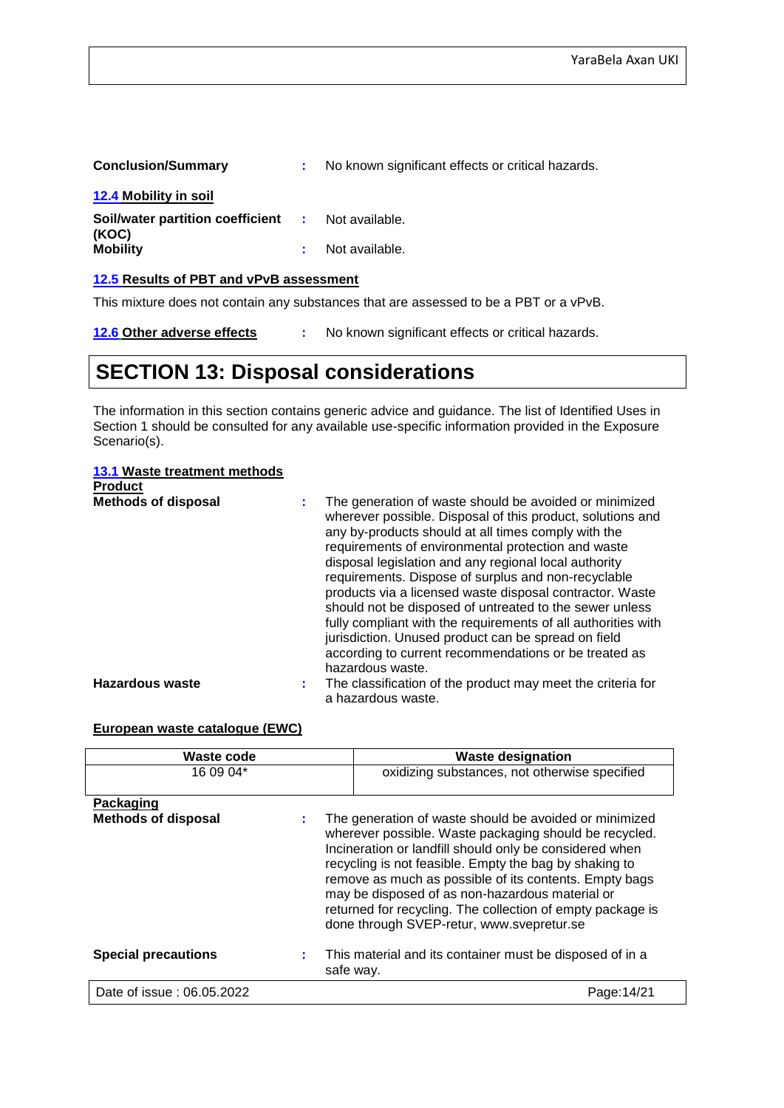| <b>Conclusion/Summary</b>                                         | No known significant effects or critical hazards. |
|-------------------------------------------------------------------|---------------------------------------------------|
| <b>12.4 Mobility in soil</b>                                      |                                                   |
| <b>Soil/water partition coefficient :</b> Not available.<br>(KOC) |                                                   |
| <b>Mobility</b>                                                   | Not available.                                    |

#### **12.5 Results of PBT and vPvB assessment**

This mixture does not contain any substances that are assessed to be a PBT or a vPvB.

**12.6 Other adverse effects :** No known significant effects or critical hazards.

## **SECTION 13: Disposal considerations**

The information in this section contains generic advice and guidance. The list of Identified Uses in Section 1 should be consulted for any available use-specific information provided in the Exposure Scenario(s).

#### **13.1 Waste treatment methods**

| <b>Product</b>             |                                                                                                                                                                                                                                                                                                                                                                                                                                                                                                                                                                                                                                                                               |
|----------------------------|-------------------------------------------------------------------------------------------------------------------------------------------------------------------------------------------------------------------------------------------------------------------------------------------------------------------------------------------------------------------------------------------------------------------------------------------------------------------------------------------------------------------------------------------------------------------------------------------------------------------------------------------------------------------------------|
| <b>Methods of disposal</b> | The generation of waste should be avoided or minimized<br>wherever possible. Disposal of this product, solutions and<br>any by-products should at all times comply with the<br>requirements of environmental protection and waste<br>disposal legislation and any regional local authority<br>requirements. Dispose of surplus and non-recyclable<br>products via a licensed waste disposal contractor. Waste<br>should not be disposed of untreated to the sewer unless<br>fully compliant with the requirements of all authorities with<br>jurisdiction. Unused product can be spread on field<br>according to current recommendations or be treated as<br>hazardous waste. |
| <b>Hazardous waste</b>     | The classification of the product may meet the criteria for<br>÷.                                                                                                                                                                                                                                                                                                                                                                                                                                                                                                                                                                                                             |
|                            | a hazardous waste.                                                                                                                                                                                                                                                                                                                                                                                                                                                                                                                                                                                                                                                            |

#### **European waste catalogue (EWC)**

| Waste code                              | <b>Waste designation</b>                                                                                                                                                                                                                                                                                                                                                                                                                                      |  |
|-----------------------------------------|---------------------------------------------------------------------------------------------------------------------------------------------------------------------------------------------------------------------------------------------------------------------------------------------------------------------------------------------------------------------------------------------------------------------------------------------------------------|--|
| 16 09 04*                               | oxidizing substances, not otherwise specified                                                                                                                                                                                                                                                                                                                                                                                                                 |  |
| Packaging<br><b>Methods of disposal</b> | The generation of waste should be avoided or minimized<br>wherever possible. Waste packaging should be recycled.<br>Incineration or landfill should only be considered when<br>recycling is not feasible. Empty the bag by shaking to<br>remove as much as possible of its contents. Empty bags<br>may be disposed of as non-hazardous material or<br>returned for recycling. The collection of empty package is<br>done through SVEP-retur, www.svepretur.se |  |
| <b>Special precautions</b>              | This material and its container must be disposed of in a<br>safe way.                                                                                                                                                                                                                                                                                                                                                                                         |  |
| Date of issue: 06.05.2022               | Page:14/21                                                                                                                                                                                                                                                                                                                                                                                                                                                    |  |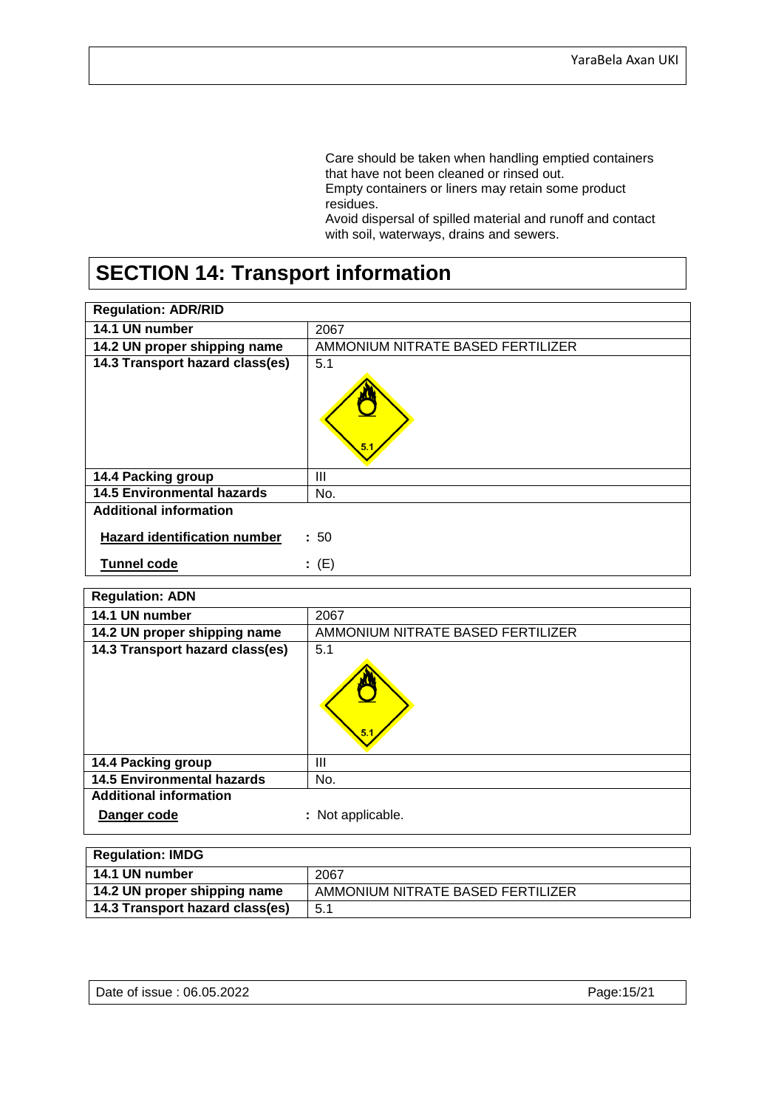Care should be taken when handling emptied containers that have not been cleaned or rinsed out. Empty containers or liners may retain some product residues.

Avoid dispersal of spilled material and runoff and contact with soil, waterways, drains and sewers.

# **SECTION 14: Transport information**

| <b>Regulation: ADR/RID</b>          |                                   |
|-------------------------------------|-----------------------------------|
| 14.1 UN number                      | 2067                              |
| 14.2 UN proper shipping name        | AMMONIUM NITRATE BASED FERTILIZER |
| 14.3 Transport hazard class(es)     | 5.1<br>5.                         |
| 14.4 Packing group                  | Ш                                 |
| <b>14.5 Environmental hazards</b>   | No.                               |
| <b>Additional information</b>       |                                   |
| <b>Hazard identification number</b> | : 50                              |
| <b>Tunnel code</b>                  | (E)<br>÷.                         |

| <b>Regulation: ADN</b>            |                                   |
|-----------------------------------|-----------------------------------|
| 14.1 UN number                    | 2067                              |
| 14.2 UN proper shipping name      | AMMONIUM NITRATE BASED FERTILIZER |
| 14.3 Transport hazard class(es)   | 5.1<br>5.                         |
| 14.4 Packing group                | Ш                                 |
| <b>14.5 Environmental hazards</b> | No.                               |
| <b>Additional information</b>     |                                   |
| Danger code                       | : Not applicable.                 |

| <b>Regulation: IMDG</b>         |                                   |
|---------------------------------|-----------------------------------|
| 14.1 UN number                  | 2067                              |
| 14.2 UN proper shipping name    | AMMONIUM NITRATE BASED FERTILIZER |
| 14.3 Transport hazard class(es) | 5.1                               |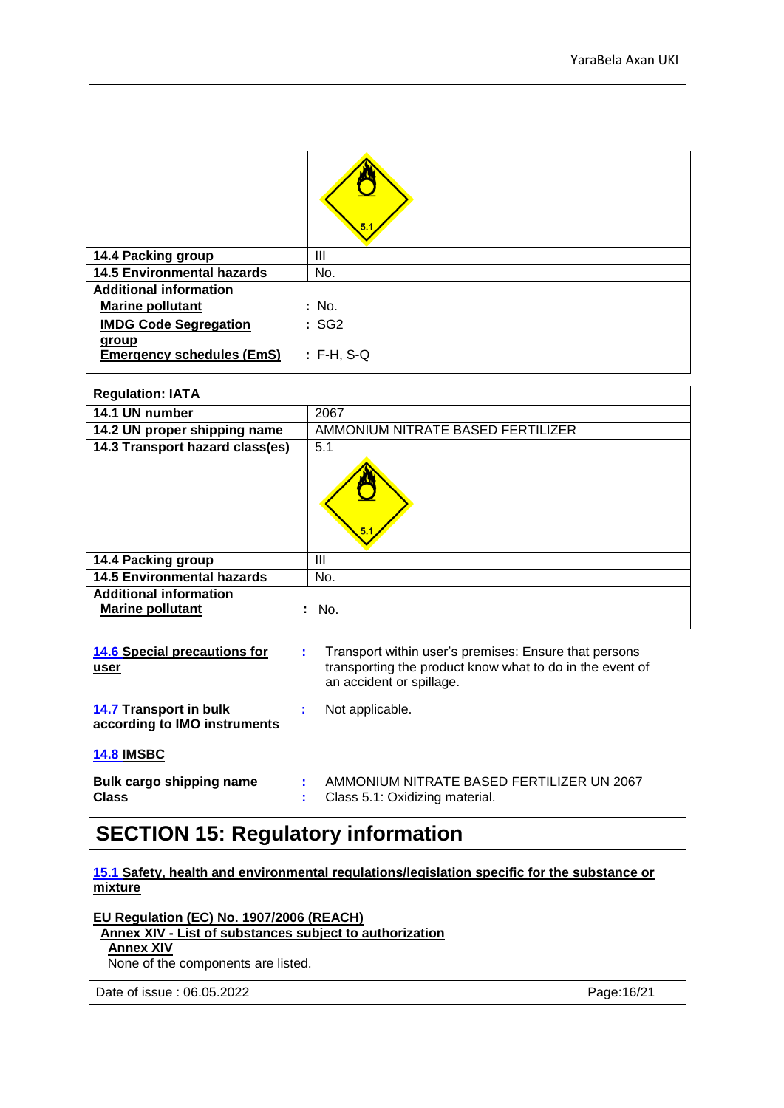|                                           | 5.           |
|-------------------------------------------|--------------|
| 14.4 Packing group                        | Ш            |
| <b>14.5 Environmental hazards</b>         | No.          |
| <b>Additional information</b>             |              |
| <b>Marine pollutant</b>                   | : No.        |
| <b>IMDG Code Segregation</b>              | :SG2         |
| group<br><b>Emergency schedules (EmS)</b> | $: F-H, S-Q$ |

| <b>Regulation: IATA</b>                                  |                                   |
|----------------------------------------------------------|-----------------------------------|
| 14.1 UN number                                           | 2067                              |
| 14.2 UN proper shipping name                             | AMMONIUM NITRATE BASED FERTILIZER |
| 14.3 Transport hazard class(es)                          | 5.1<br>5                          |
| 14.4 Packing group                                       | Ш                                 |
| <b>14.5 Environmental hazards</b>                        | No.                               |
| <b>Additional information</b><br><b>Marine pollutant</b> | No.                               |

| 14.6 Special precautions for<br>user                          | ÷. | Transport within user's premises: Ensure that persons<br>transporting the product know what to do in the event of<br>an accident or spillage. |
|---------------------------------------------------------------|----|-----------------------------------------------------------------------------------------------------------------------------------------------|
| <b>14.7 Transport in bulk</b><br>according to IMO instruments | ÷. | Not applicable.                                                                                                                               |
| <b>14.8 IMSBC</b>                                             |    |                                                                                                                                               |
| Bulk cargo shipping name<br><b>Class</b>                      |    | AMMONIUM NITRATE BASED FERTILIZER UN 2067<br>Class 5.1: Oxidizing material.                                                                   |

## **SECTION 15: Regulatory information**

#### **15.1 Safety, health and environmental regulations/legislation specific for the substance or mixture**

**EU Regulation (EC) No. 1907/2006 (REACH)**

 **Annex XIV - List of substances subject to authorization**

#### **Annex XIV**

None of the components are listed.

Date of issue : 06.05.2022 **Page:16/21**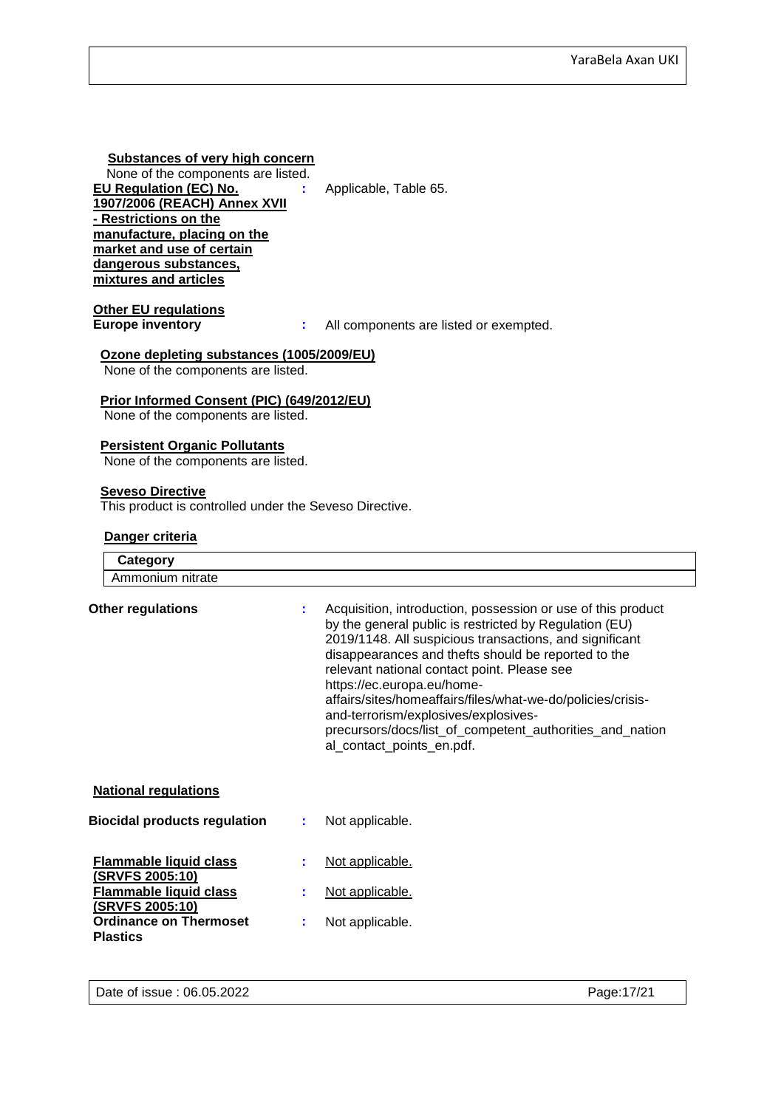#### **Substances of very high concern**

None of the components are listed.<br>**U Regulation (EC) No.** : **EU Regulation (EC) No. 1907/2006 (REACH) Annex XVII - Restrictions on the manufacture, placing on the market and use of certain dangerous substances, mixtures and articles**

**:** Applicable, Table 65.

**Other EU regulations**

**Europe inventory :** All components are listed or exempted.

#### **Ozone depleting substances (1005/2009/EU)**

None of the components are listed.

#### **Prior Informed Consent (PIC) (649/2012/EU)**

None of the components are listed.

#### **Persistent Organic Pollutants**

None of the components are listed.

#### **Seveso Directive**

This product is controlled under the Seveso Directive.

#### **Danger criteria**

| Category                                                |    |                                                                                                                                                                                                                                                                                                                                                                                                                                                                                                                       |
|---------------------------------------------------------|----|-----------------------------------------------------------------------------------------------------------------------------------------------------------------------------------------------------------------------------------------------------------------------------------------------------------------------------------------------------------------------------------------------------------------------------------------------------------------------------------------------------------------------|
| Ammonium nitrate                                        |    |                                                                                                                                                                                                                                                                                                                                                                                                                                                                                                                       |
| <b>Other regulations</b>                                |    | Acquisition, introduction, possession or use of this product<br>by the general public is restricted by Regulation (EU)<br>2019/1148. All suspicious transactions, and significant<br>disappearances and thefts should be reported to the<br>relevant national contact point. Please see<br>https://ec.europa.eu/home-<br>affairs/sites/homeaffairs/files/what-we-do/policies/crisis-<br>and-terrorism/explosives/explosives-<br>precursors/docs/list_of_competent_authorities_and_nation<br>al_contact_points_en.pdf. |
| <b>National regulations</b>                             |    |                                                                                                                                                                                                                                                                                                                                                                                                                                                                                                                       |
| <b>Biocidal products regulation</b>                     | ÷. | Not applicable.                                                                                                                                                                                                                                                                                                                                                                                                                                                                                                       |
| <b>Flammable liquid class</b><br><b>(SRVFS 2005:10)</b> |    | Not applicable.                                                                                                                                                                                                                                                                                                                                                                                                                                                                                                       |
| <b>Flammable liquid class</b><br>(SRVFS 2005:10)        |    | Not applicable.                                                                                                                                                                                                                                                                                                                                                                                                                                                                                                       |
| <b>Ordinance on Thermoset</b><br><b>Plastics</b>        |    | Not applicable.                                                                                                                                                                                                                                                                                                                                                                                                                                                                                                       |
|                                                         |    |                                                                                                                                                                                                                                                                                                                                                                                                                                                                                                                       |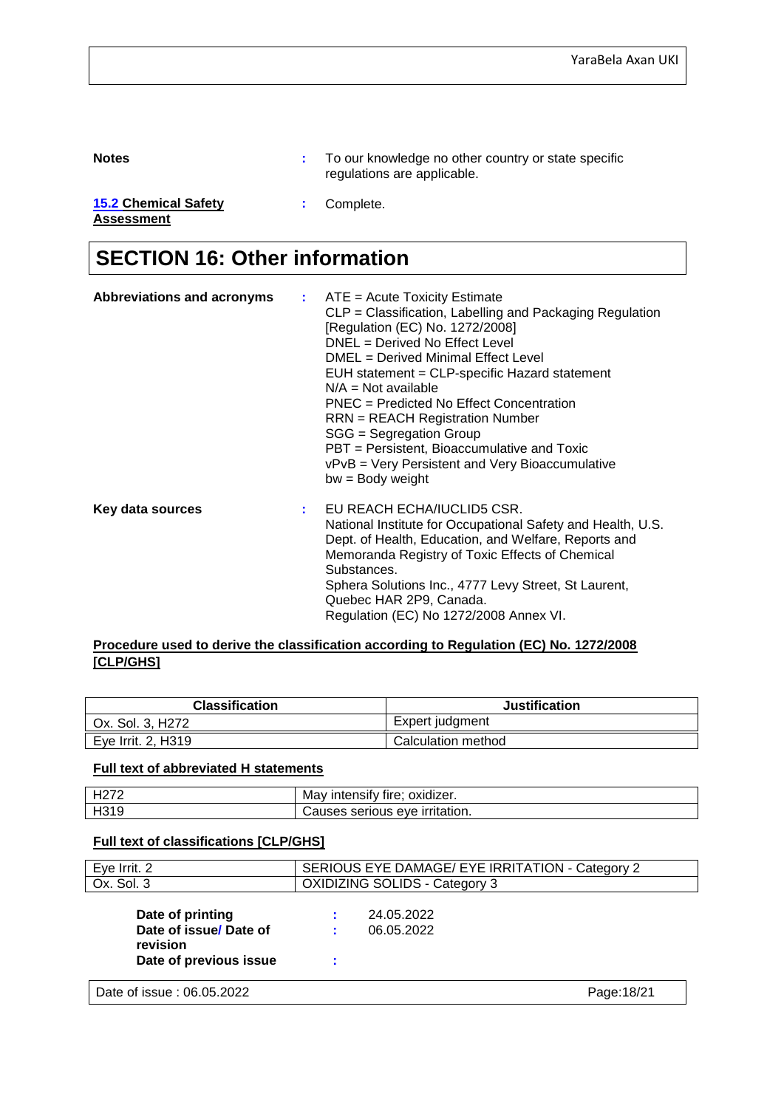**Notes :** To our knowledge no other country or state specific regulations are applicable.

**15.2 Chemical Safety :** Complete.

**Assessment**

# **SECTION 16: Other information**

| <b>Abbreviations and acronyms</b> | $\therefore$ ATE = Acute Toxicity Estimate<br>CLP = Classification, Labelling and Packaging Regulation<br>[Regulation (EC) No. 1272/2008]<br>DNEL = Derived No Effect Level<br>DMEL = Derived Minimal Effect Level<br>EUH statement = CLP-specific Hazard statement<br>$N/A = Not available$<br>PNEC = Predicted No Effect Concentration<br><b>RRN</b> = REACH Registration Number<br>SGG = Segregation Group<br>PBT = Persistent, Bioaccumulative and Toxic<br>vPvB = Very Persistent and Very Bioaccumulative<br>$bw = Body weight$ |
|-----------------------------------|---------------------------------------------------------------------------------------------------------------------------------------------------------------------------------------------------------------------------------------------------------------------------------------------------------------------------------------------------------------------------------------------------------------------------------------------------------------------------------------------------------------------------------------|
| Key data sources                  | $:$ EU REACH ECHA/IUCLID5 CSR.<br>National Institute for Occupational Safety and Health, U.S.<br>Dept. of Health, Education, and Welfare, Reports and<br>Memoranda Registry of Toxic Effects of Chemical<br>Substances.<br>Sphera Solutions Inc., 4777 Levy Street, St Laurent,<br>Quebec HAR 2P9, Canada.<br>Regulation (EC) No 1272/2008 Annex VI.                                                                                                                                                                                  |

#### **Procedure used to derive the classification according to Regulation (EC) No. 1272/2008 [CLP/GHS]**

| <b>Classification</b> | <b>Justification</b> |
|-----------------------|----------------------|
| Ox. Sol. 3, H272      | Expert judgment      |
| Eye Irrit. 2, H319    | Calculation method   |

#### **Full text of abbreviated H statements**

| L107c<br>ி∠ | . .<br>.<br>oxidizei.<br><br>---<br>ма<br>11 e<br>┅<br>…dib⊪' |
|-------------|---------------------------------------------------------------|
| ലാ⊿<br>⊓७।५ | AVA<br>יו ר<br>seriu<br>auon."<br>use:                        |

#### **Full text of classifications [CLP/GHS]**

| Eye Irrit. 2                                                                    | SERIOUS EYE DAMAGE/ EYE IRRITATION - Category 2 |  |  |  |
|---------------------------------------------------------------------------------|-------------------------------------------------|--|--|--|
| Ox. Sol. 3                                                                      | <b>OXIDIZING SOLIDS - Category 3</b>            |  |  |  |
| Date of printing<br>Date of issue/Date of<br>revision<br>Date of previous issue | 24.05.2022<br>06.05.2022                        |  |  |  |
| Date of issue: 06.05.2022                                                       | Page: 18/21                                     |  |  |  |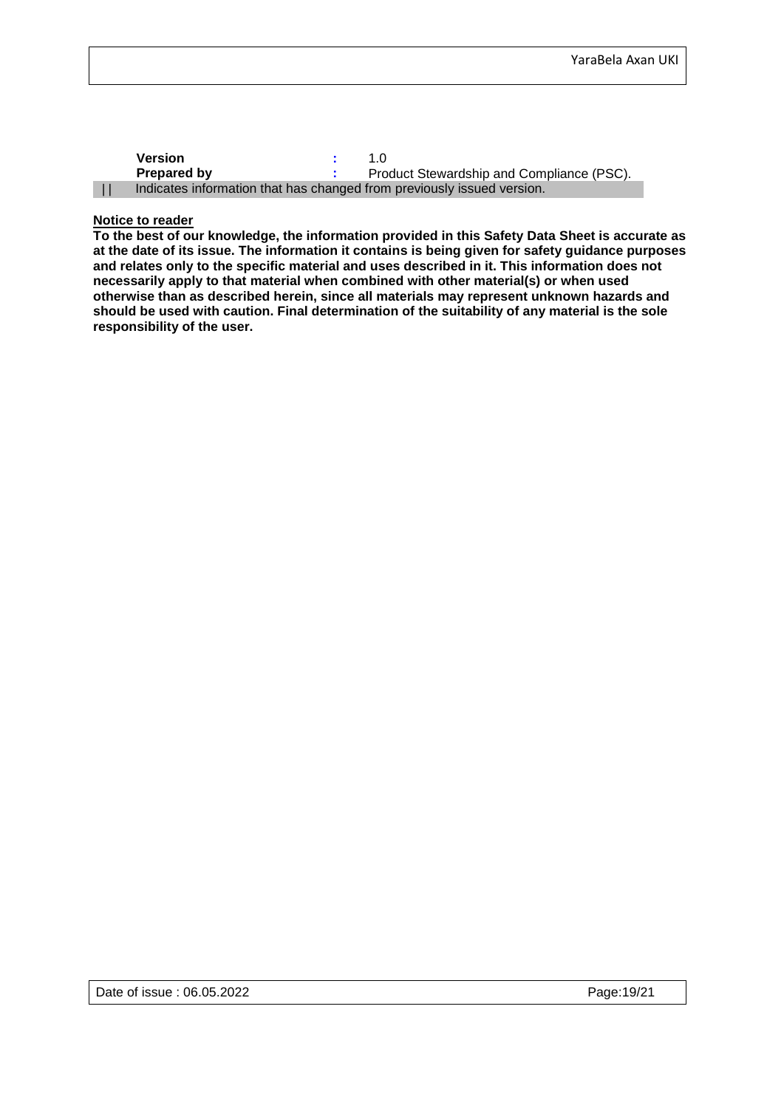| <b>Version</b>     |                                                                        |
|--------------------|------------------------------------------------------------------------|
| <b>Prepared by</b> | Product Stewardship and Compliance (PSC).                              |
|                    | Indicates information that has changed from previously issued version. |

#### **Notice to reader**

**To the best of our knowledge, the information provided in this Safety Data Sheet is accurate as at the date of its issue. The information it contains is being given for safety guidance purposes and relates only to the specific material and uses described in it. This information does not necessarily apply to that material when combined with other material(s) or when used otherwise than as described herein, since all materials may represent unknown hazards and should be used with caution. Final determination of the suitability of any material is the sole responsibility of the user.**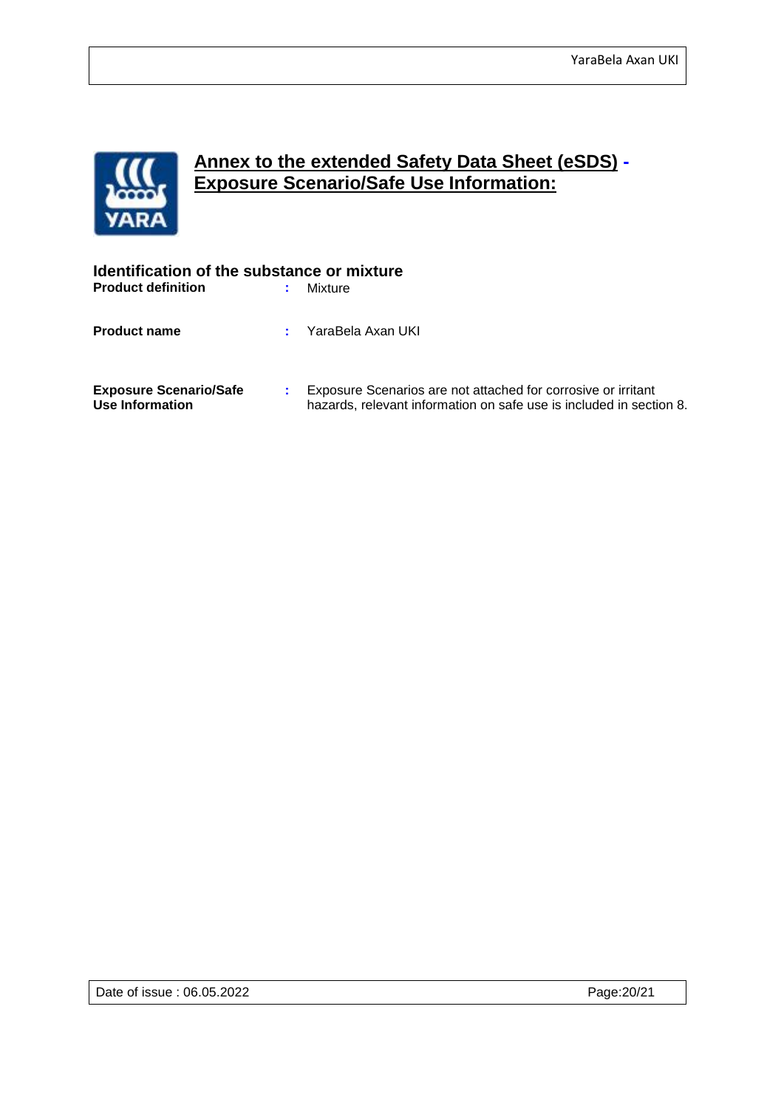

## **Annex to the extended Safety Data Sheet (eSDS) - Exposure Scenario/Safe Use Information:**

| Identification of the substance or mixture       |   |                                                                                                                                      |  |  |
|--------------------------------------------------|---|--------------------------------------------------------------------------------------------------------------------------------------|--|--|
| <b>Product definition</b>                        | ÷ | Mixture                                                                                                                              |  |  |
| <b>Product name</b>                              |   | YaraBela Axan UKI                                                                                                                    |  |  |
| <b>Exposure Scenario/Safe</b><br>Use Information |   | Exposure Scenarios are not attached for corrosive or irritant<br>hazards, relevant information on safe use is included in section 8. |  |  |